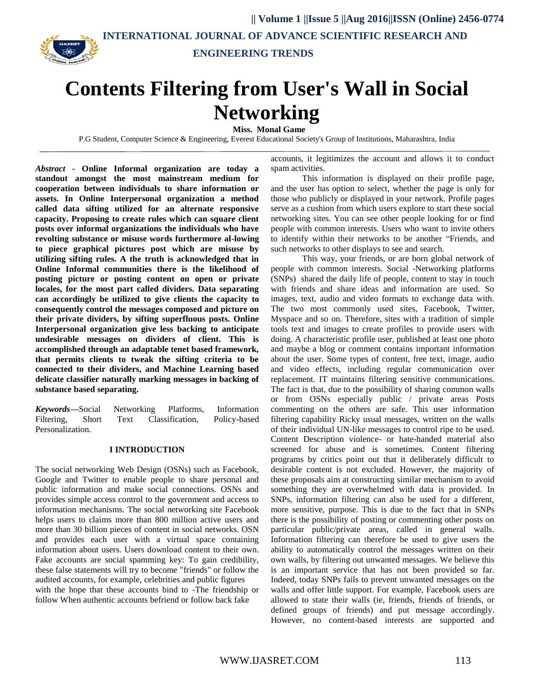

**|| Volume 1 ||Issue 5 ||Aug 2016||ISSN (Online) 2456-0774 INTERNATIONAL JOURNAL OF ADVANCE SCIENTIFIC RESEARCH AND ENGINEERING TRENDS**

# **Contents Filtering from User's Wall in Social Networking**

 **Miss. Monal Game**

P.G Student, Computer Science & Engineering, Everest Educational Society's Group of Institutions, Maharashtra, India

*Abstract* **- Online Informal organization are today a standout amongst the most mainstream medium for cooperation between individuals to share information or assets. In Online Interpersonal organization a method called data sifting utilized for an alternate responsive capacity. Proposing to create rules which can square client posts over informal organizations the individuals who have revolting substance or misuse words furthermore al-lowing to piece graphical pictures post which are misuse by utilizing sifting rules. A the truth is acknowledged that in Online Informal communities there is the likelihood of posting picture or posting content on open or private locales, for the most part called dividers. Data separating can accordingly be utilized to give clients the capacity to consequently control the messages composed and picture on their private dividers, by sifting superfluous posts. Online Interpersonal organization give less backing to anticipate undesirable messages on dividers of client. This is accomplished through an adaptable tenet based framework, that permits clients to tweak the sifting criteria to be connected to their dividers, and Machine Learning based delicate classifier naturally marking messages in backing of substance based separating.**

*Keywords***—**Social Networking Platforms, Information Filtering, Short Text Classification, Policy-based Personalization.

#### **I INTRODUCTION**

The social networking Web Design (OSNs) such as Facebook, Google and Twitter to enable people to share personal and public information and make social connections. OSNs and provides simple access control to the government and access to information mechanisms. The social networking site Facebook helps users to claims more than 800 million active users and more than 30 billion pieces of content in social networks. OSN and provides each user with a virtual space containing information about users. Users download content to their own. Fake accounts are social spamming key: To gain credibility, these false statements will try to become "friends" or follow the audited accounts, for example, celebrities and public figures with the hope that these accounts bind to -The friendship or follow When authentic accounts befriend or follow back fake

accounts, it legitimizes the account and allows it to conduct spam activities.

This information is displayed on their profile page, and the user has option to select, whether the page is only for those who publicly or displayed in your network. Profile pages serve as a cushion from which users explore to start these social networking sites. You can see other people looking for or find people with common interests. Users who want to invite others to identify within their networks to be another "Friends, and such networks to other displays to see and search.

This way, your friends, or are born global network of people with common interests. Social -Networking platforms (SNPs) shared the daily life of people, content to stay in touch with friends and share ideas and information are used. So images, text, audio and video formats to exchange data with. The two most commonly used sites, Facebook, Twitter, Myspace and so on. Therefore, sites with a tradition of simple tools text and images to create profiles to provide users with doing. A characteristic profile user, published at least one photo and maybe a blog or comment contains important information about the user. Some types of content, free text, image, audio and video effects, including regular communication over replacement. IT maintains filtering sensitive communications. The fact is that, due to the possibility of sharing common walls or from OSNs especially public / private areas Posts commenting on the others are safe. This user information filtering capability Ricky usual messages, written on the walls of their individual UN-like messages to control ripe to be used. Content Description violence- or hate-handed material also screened for abuse and is sometimes. Content filtering programs by critics point out that it deliberately difficult to desirable content is not excluded. However, the majority of these proposals aim at constructing similar mechanism to avoid something they are overwhelmed with data is provided. In SNPs, information filtering can also be used for a different, more sensitive, purpose. This is due to the fact that in SNPs there is the possibility of posting or commenting other posts on particular public/private areas, called in general walls. Information filtering can therefore be used to give users the ability to automatically control the messages written on their own walls, by filtering out unwanted messages. We believe this is an important service that has not been provided so far. Indeed, today SNPs fails to prevent unwanted messages on the walls and offer little support. For example, Facebook users are allowed to state their walls (ie, friends, friends of friends, or defined groups of friends) and put message accordingly. However, no content-based interests are supported and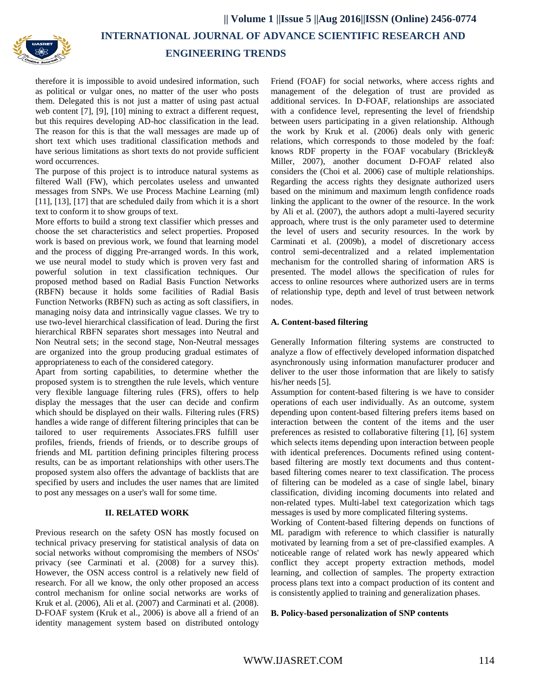

 **INTERNATIONAL JOURNAL OF ADVANCE SCIENTIFIC RESEARCH AND**

## **ENGINEERING TRENDS**

therefore it is impossible to avoid undesired information, such as political or vulgar ones, no matter of the user who posts them. Delegated this is not just a matter of using past actual web content [7], [9], [10] mining to extract a different request, but this requires developing AD-hoc classification in the lead. The reason for this is that the wall messages are made up of short text which uses traditional classification methods and have serious limitations as short texts do not provide sufficient word occurrences.

The purpose of this project is to introduce natural systems as filtered Wall (FW), which percolates useless and unwanted messages from SNPs. We use Process Machine Learning (ml) [11], [13], [17] that are scheduled daily from which it is a short text to conform it to show groups of text.

More efforts to build a strong text classifier which presses and choose the set characteristics and select properties. Proposed work is based on previous work, we found that learning model and the process of digging Pre-arranged words. In this work, we use neural model to study which is proven very fast and powerful solution in text classification techniques. Our proposed method based on Radial Basis Function Networks (RBFN) because it holds some facilities of Radial Basis Function Networks (RBFN) such as acting as soft classifiers, in managing noisy data and intrinsically vague classes. We try to use two-level hierarchical classification of lead. During the first hierarchical RBFN separates short messages into Neutral and Non Neutral sets; in the second stage, Non-Neutral messages are organized into the group producing gradual estimates of appropriateness to each of the considered category.

Apart from sorting capabilities, to determine whether the proposed system is to strengthen the rule levels, which venture very flexible language filtering rules (FRS), offers to help display the messages that the user can decide and confirm which should be displayed on their walls. Filtering rules (FRS) handles a wide range of different filtering principles that can be tailored to user requirements Associates.FRS fulfill user profiles, friends, friends of friends, or to describe groups of friends and ML partition defining principles filtering process results, can be as important relationships with other users.The proposed system also offers the advantage of backlists that are specified by users and includes the user names that are limited to post any messages on a user's wall for some time.

## **II. RELATED WORK**

Previous research on the safety OSN has mostly focused on technical privacy preserving for statistical analysis of data on social networks without compromising the members of NSOs' privacy (see Carminati et al. (2008) for a survey this). However, the OSN access control is a relatively new field of research. For all we know, the only other proposed an access control mechanism for online social networks are works of Kruk et al. (2006), Ali et al. (2007) and Carminati et al. (2008). D-FOAF system (Kruk et al., 2006) is above all a friend of an identity management system based on distributed ontology

Friend (FOAF) for social networks, where access rights and management of the delegation of trust are provided as additional services. In D-FOAF, relationships are associated with a confidence level, representing the level of friendship between users participating in a given relationship. Although the work by Kruk et al. (2006) deals only with generic relations, which corresponds to those modeled by the foaf: knows RDF property in the FOAF vocabulary (Brickley& Miller, 2007), another document D-FOAF related also considers the (Choi et al. 2006) case of multiple relationships. Regarding the access rights they designate authorized users based on the minimum and maximum length confidence roads linking the applicant to the owner of the resource. In the work by Ali et al. (2007), the authors adopt a multi-layered security approach, where trust is the only parameter used to determine the level of users and security resources. In the work by Carminati et al. (2009b), a model of discretionary access control semi-decentralized and a related implementation mechanism for the controlled sharing of information ARS is presented. The model allows the specification of rules for access to online resources where authorized users are in terms of relationship type, depth and level of trust between network nodes.

## **A. Content-based filtering**

Generally Information filtering systems are constructed to analyze a flow of effectively developed information dispatched asynchronously using information manufacturer producer and deliver to the user those information that are likely to satisfy his/her needs [5].

Assumption for content-based filtering is we have to consider operations of each user individually. As an outcome, system depending upon content-based filtering prefers items based on interaction between the content of the items and the user preferences as resisted to collaborative filtering [1], [6] system which selects items depending upon interaction between people with identical preferences. Documents refined using contentbased filtering are mostly text documents and thus contentbased filtering comes nearer to text classification. The process of filtering can be modeled as a case of single label, binary classification, dividing incoming documents into related and non-related types. Multi-label text categorization which tags messages is used by more complicated filtering systems.

Working of Content-based filtering depends on functions of ML paradigm with reference to which classifier is naturally motivated by learning from a set of pre-classified examples. A noticeable range of related work has newly appeared which conflict they accept property extraction methods, model learning, and collection of samples. The property extraction process plans text into a compact production of its content and is consistently applied to training and generalization phases.

#### **B. Policy-based personalization of SNP contents**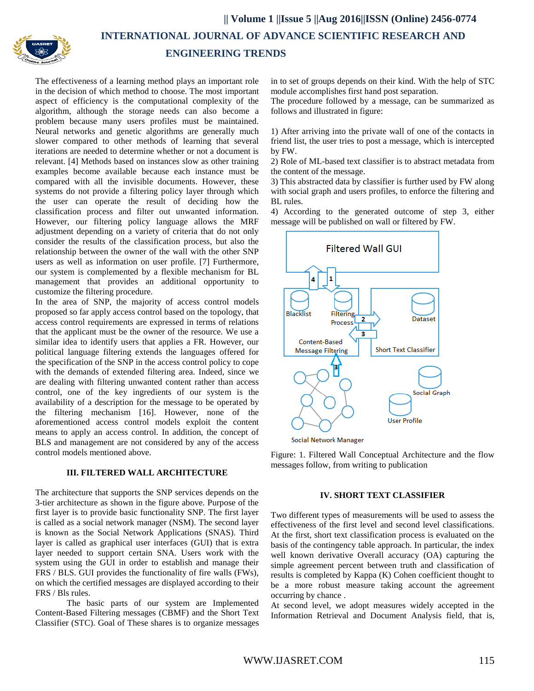

 **INTERNATIONAL JOURNAL OF ADVANCE SCIENTIFIC RESEARCH AND**

# **ENGINEERING TRENDS**

The effectiveness of a learning method plays an important role in the decision of which method to choose. The most important aspect of efficiency is the computational complexity of the algorithm, although the storage needs can also become a problem because many users profiles must be maintained. Neural networks and genetic algorithms are generally much slower compared to other methods of learning that several iterations are needed to determine whether or not a document is relevant. [4] Methods based on instances slow as other training examples become available because each instance must be compared with all the invisible documents. However, these systems do not provide a filtering policy layer through which the user can operate the result of deciding how the classification process and filter out unwanted information. However, our filtering policy language allows the MRF adjustment depending on a variety of criteria that do not only consider the results of the classification process, but also the relationship between the owner of the wall with the other SNP users as well as information on user profile. [7] Furthermore, our system is complemented by a flexible mechanism for BL management that provides an additional opportunity to customize the filtering procedure.

In the area of SNP, the majority of access control models proposed so far apply access control based on the topology, that access control requirements are expressed in terms of relations that the applicant must be the owner of the resource. We use a similar idea to identify users that applies a FR. However, our political language filtering extends the languages offered for the specification of the SNP in the access control policy to cope with the demands of extended filtering area. Indeed, since we are dealing with filtering unwanted content rather than access control, one of the key ingredients of our system is the availability of a description for the message to be operated by the filtering mechanism [16]. However, none of the aforementioned access control models exploit the content means to apply an access control. In addition, the concept of BLS and management are not considered by any of the access control models mentioned above.

## **III. FILTERED WALL ARCHITECTURE**

The architecture that supports the SNP services depends on the 3-tier architecture as shown in the figure above. Purpose of the first layer is to provide basic functionality SNP. The first layer is called as a social network manager (NSM). The second layer is known as the Social Network Applications (SNAS). Third layer is called as graphical user interfaces (GUI) that is extra layer needed to support certain SNA. Users work with the system using the GUI in order to establish and manage their FRS / BLS. GUI provides the functionality of fire walls (FWs), on which the certified messages are displayed according to their FRS / Bls rules.

The basic parts of our system are Implemented Content-Based Filtering messages (CBMF) and the Short Text Classifier (STC). Goal of These shares is to organize messages in to set of groups depends on their kind. With the help of STC module accomplishes first hand post separation.

The procedure followed by a message, can be summarized as follows and illustrated in figure:

1) After arriving into the private wall of one of the contacts in friend list, the user tries to post a message, which is intercepted by FW.

2) Role of ML-based text classifier is to abstract metadata from the content of the message.

3) This abstracted data by classifier is further used by FW along with social graph and users profiles, to enforce the filtering and BL rules.

4) According to the generated outcome of step 3, either message will be published on wall or filtered by FW.



Social Network Manager

Figure: 1. Filtered Wall Conceptual Architecture and the flow messages follow, from writing to publication

#### **IV. SHORT TEXT CLASSIFIER**

Two different types of measurements will be used to assess the effectiveness of the first level and second level classifications. At the first, short text classification process is evaluated on the basis of the contingency table approach. In particular, the index well known derivative Overall accuracy (OA) capturing the simple agreement percent between truth and classification of results is completed by Kappa (K) Cohen coefficient thought to be a more robust measure taking account the agreement occurring by chance .

At second level, we adopt measures widely accepted in the Information Retrieval and Document Analysis field, that is,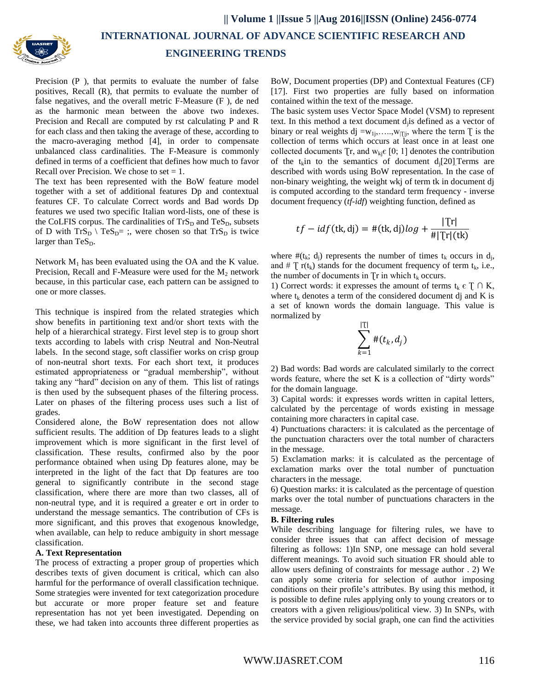

 **INTERNATIONAL JOURNAL OF ADVANCE SCIENTIFIC RESEARCH AND**

## **ENGINEERING TRENDS**

Precision (P), that permits to evaluate the number of false positives, Recall (R), that permits to evaluate the number of false negatives, and the overall metric F-Measure (F ), de ned as the harmonic mean between the above two indexes. Precision and Recall are computed by rst calculating P and R for each class and then taking the average of these, according to the macro-averaging method [4], in order to compensate unbalanced class cardinalities. The F-Measure is commonly defined in terms of a coefficient that defines how much to favor Recall over Precision. We chose to set  $= 1$ .

The text has been represented with the BoW feature model together with a set of additional features Dp and contextual features CF. To calculate Correct words and Bad words Dp features we used two specific Italian word-lists, one of these is the CoLFIS corpus. The cardinalities of  $TrS_D$  and  $TeS_D$ , subsets of D with  $TrS_D \setminus TeS_D =$ ; were chosen so that  $TrS_D$  is twice larger than  $\text{TeS}_{\text{D}}$ .

Network  $M_1$  has been evaluated using the OA and the K value. Precision, Recall and F-Measure were used for the  $M<sub>2</sub>$  network because, in this particular case, each pattern can be assigned to one or more classes.

This technique is inspired from the related strategies which show benefits in partitioning text and/or short texts with the help of a hierarchical strategy. First level step is to group short texts according to labels with crisp Neutral and Non-Neutral labels. In the second stage, soft classifier works on crisp group of non-neutral short texts. For each short text, it produces estimated appropriateness or "gradual membership", without taking any "hard" decision on any of them. This list of ratings is then used by the subsequent phases of the filtering process. Later on phases of the filtering process uses such a list of grades.

Considered alone, the BoW representation does not allow sufficient results. The addition of Dp features leads to a slight improvement which is more significant in the first level of classification. These results, confirmed also by the poor performance obtained when using Dp features alone, may be interpreted in the light of the fact that Dp features are too general to significantly contribute in the second stage classification, where there are more than two classes, all of non-neutral type, and it is required a greater e ort in order to understand the message semantics. The contribution of CFs is more significant, and this proves that exogenous knowledge, when available, can help to reduce ambiguity in short message classification.

## **A. Text Representation**

The process of extracting a proper group of properties which describes texts of given document is critical, which can also harmful for the performance of overall classification technique. Some strategies were invented for text categorization procedure but accurate or more proper feature set and feature representation has not yet been investigated. Depending on these, we had taken into accounts three different properties as BoW, Document properties (DP) and Contextual Features (CF) [17]. First two properties are fully based on information contained within the text of the message.

The basic system uses Vector Space Model (VSM) to represent text. In this method a text document d<sub>j</sub>is defined as a vector of binary or real weights dj =w<sub>1j</sub>,....,w<sub>|i|j</sub>, where the term  $\bar{I}$  is the collection of terms which occurs at least once in at least one collected documents  $Tr$ , and  $w_{ki} \in [0; 1]$  denotes the contribution of the t<sub>k</sub>in to the semantics of document  $d_i[20]$ . Terms are described with words using BoW representation. In the case of non-binary weighting, the weight wkj of term tk in document dj is computed according to the standard term frequency - inverse document frequency (*tf-idf*) weighting function, defined as

$$
tf - idf(\mathsf{tk}, \mathsf{dj}) = \#(\mathsf{tk}, \mathsf{dj})\log + \frac{|\mathsf{Tr}|}{\#|\mathsf{Tr}|(\mathsf{tk})}
$$

where  $\#(t_k; d_j)$  represents the number of times  $t_k$  occurs in  $d_j$ , and #  $\Gamma$  r(t<sub>k</sub>) stands for the document frequency of term t<sub>k</sub>, i.e., the number of documents in  $Tr$  in which  $t_k$  occurs.

1) Correct words: it expresses the amount of terms  $t_k \in T \cap K$ , where  $t_k$  denotes a term of the considered document dj and K is a set of known words the domain language. This value is normalized by

$$
\sum_{k=1}^{|\mathbb{T}|} \#(t_k, d_j)
$$

2) Bad words: Bad words are calculated similarly to the correct words feature, where the set K is a collection of "dirty words" for the domain language.

3) Capital words: it expresses words written in capital letters, calculated by the percentage of words existing in message containing more characters in capital case.

4) Punctuations characters: it is calculated as the percentage of the punctuation characters over the total number of characters in the message.

5) Exclamation marks: it is calculated as the percentage of exclamation marks over the total number of punctuation characters in the message.

6) Question marks: it is calculated as the percentage of question marks over the total number of punctuations characters in the message.

## **B. Filtering rules**

While describing language for filtering rules, we have to consider three issues that can affect decision of message filtering as follows: 1)In SNP, one message can hold several different meanings. To avoid such situation FR should able to allow users defining of constraints for message author . 2) We can apply some criteria for selection of author imposing conditions on their profile's attributes. By using this method, it is possible to define rules applying only to young creators or to creators with a given religious/political view. 3) In SNPs, with the service provided by social graph, one can find the activities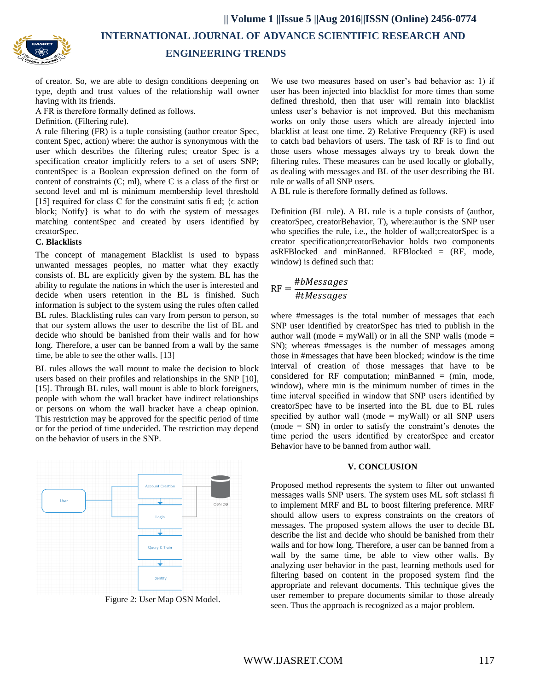**INTERNATIONAL JOURNAL OF ADVANCE SCIENTIFIC RESEARCH AND**

## **ENGINEERING TRENDS**

of creator. So, we are able to design conditions deepening on type, depth and trust values of the relationship wall owner having with its friends.

A FR is therefore formally defined as follows.

Definition. (Filtering rule).

A rule filtering (FR) is a tuple consisting (author creator Spec, content Spec, action) where: the author is synonymous with the user which describes the filtering rules; creator Spec is a specification creator implicitly refers to a set of users SNP; contentSpec is a Boolean expression defined on the form of content of constraints (C; ml), where C is a class of the first or second level and ml is minimum membership level threshold [15] required for class C for the constraint satis fi ed;  $\{ \epsilon \text{ action} \}$ block; Notify} is what to do with the system of messages matching contentSpec and created by users identified by creatorSpec.

## **C. Blacklists**

The concept of management Blacklist is used to bypass unwanted messages peoples, no matter what they exactly consists of. BL are explicitly given by the system. BL has the ability to regulate the nations in which the user is interested and decide when users retention in the BL is finished. Such information is subject to the system using the rules often called BL rules. Blacklisting rules can vary from person to person, so that our system allows the user to describe the list of BL and decide who should be banished from their walls and for how long. Therefore, a user can be banned from a wall by the same time, be able to see the other walls. [13]

BL rules allows the wall mount to make the decision to block users based on their profiles and relationships in the SNP [10], [15]. Through BL rules, wall mount is able to block foreigners, people with whom the wall bracket have indirect relationships or persons on whom the wall bracket have a cheap opinion. This restriction may be approved for the specific period of time or for the period of time undecided. The restriction may depend on the behavior of users in the SNP.



Figure 2: User Map OSN Model.

We use two measures based on user's bad behavior as: 1) if user has been injected into blacklist for more times than some defined threshold, then that user will remain into blacklist unless user's behavior is not improved. But this mechanism works on only those users which are already injected into blacklist at least one time. 2) Relative Frequency (RF) is used to catch bad behaviors of users. The task of RF is to find out those users whose messages always try to break down the filtering rules. These measures can be used locally or globally, as dealing with messages and BL of the user describing the BL rule or walls of all SNP users.

A BL rule is therefore formally defined as follows.

Definition (BL rule). A BL rule is a tuple consists of (author, creatorSpec, creatorBehavior, T), where:author is the SNP user who specifies the rule, i.e., the holder of wall;creatorSpec is a creator specification;creatorBehavior holds two components asRFBlocked and minBanned. RFBlocked =  $(RF, mode,$ window) is defined such that:

$$
RF = \frac{\#bMessages}{\#tMessages}
$$

where #messages is the total number of messages that each SNP user identified by creatorSpec has tried to publish in the author wall (mode = myWall) or in all the SNP walls (mode = SN); whereas #messages is the number of messages among those in #messages that have been blocked; window is the time interval of creation of those messages that have to be considered for RF computation; minBanned  $=$  (min, mode, window), where min is the minimum number of times in the time interval specified in window that SNP users identified by creatorSpec have to be inserted into the BL due to BL rules specified by author wall (mode  $=$  myWall) or all SNP users (mode = SN) in order to satisfy the constraint's denotes the time period the users identified by creatorSpec and creator Behavior have to be banned from author wall.

#### **V. CONCLUSION**

Proposed method represents the system to filter out unwanted messages walls SNP users. The system uses ML soft stclassi fi to implement MRF and BL to boost filtering preference. MRF should allow users to express constraints on the creators of messages. The proposed system allows the user to decide BL describe the list and decide who should be banished from their walls and for how long. Therefore, a user can be banned from a wall by the same time, be able to view other walls. By analyzing user behavior in the past, learning methods used for filtering based on content in the proposed system find the appropriate and relevant documents. This technique gives the user remember to prepare documents similar to those already seen. Thus the approach is recognized as a major problem.